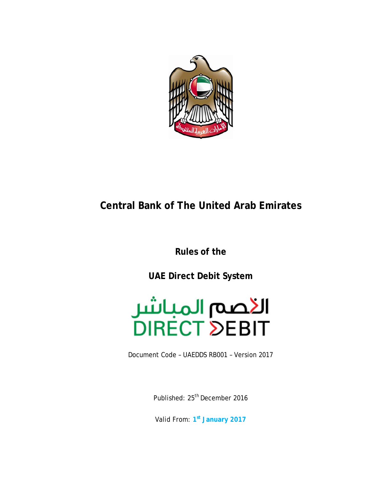

# **Central Bank of The United Arab Emirates**

**Rules of the** 

**UAE Direct Debit System**



Document Code – UAEDDS RB001 – Version 2017

Published: 25<sup>th</sup> December 2016

Valid From: **1st January 2017**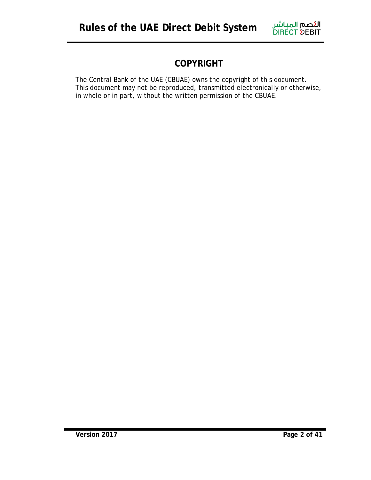## **COPYRIGHT**

The Central Bank of the UAE (CBUAE) owns the copyright of this document. This document may not be reproduced, transmitted electronically or otherwise, in whole or in part, without the written permission of the CBUAE.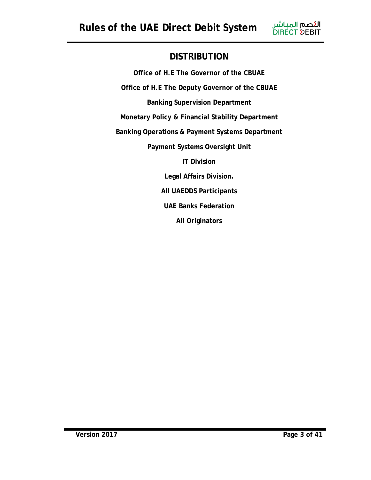## **DISTRIBUTION**

**Office of H.E The Governor of the CBUAE Office of H.E The Deputy Governor of the CBUAE Banking Supervision Department Monetary Policy & Financial Stability Department Banking Operations & Payment Systems Department Payment Systems Oversight Unit IT Division Legal Affairs Division. All UAEDDS Participants UAE Banks Federation All Originators**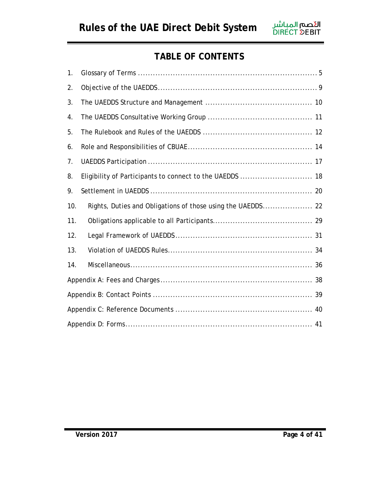## **TABLE OF CONTENTS**

| 1.  |  |
|-----|--|
| 2.  |  |
| 3.  |  |
| 4.  |  |
| 5.  |  |
| 6.  |  |
| 7.  |  |
| 8.  |  |
| 9.  |  |
| 10. |  |
| 11. |  |
| 12. |  |
| 13. |  |
| 14. |  |
|     |  |
|     |  |
|     |  |
|     |  |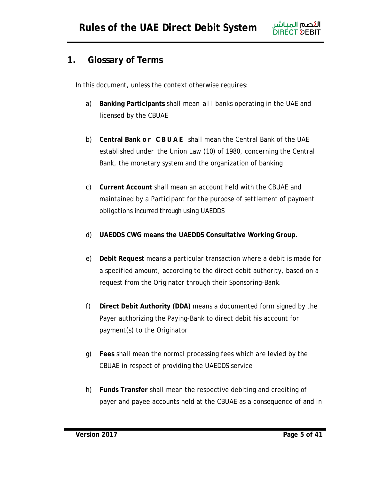## **1. Glossary of Terms**

In this document, unless the context otherwise requires:

- a) **Banking Participants** shall mean all banks operating in the UAE and licensed by the CBUAE
- b) **Central Bank or C B U A E** shall mean the Central Bank of the UAE established under the Union Law (10) of 1980, concerning the Central Bank, the monetary system and the organization of banking
- c) **Current Account** shall mean an account held with the CBUAE and maintained by a Participant for the purpose of settlement of payment obligations incurred through using UAEDDS
- d) **UAEDDS CWG means the UAEDDS Consultative Working Group.**
- e) **Debit Request** means a particular transaction where a debit is made for a specified amount, according to the direct debit authority, based on a request from the Originator through their Sponsoring-Bank.
- f) **Direct Debit Authority (DDA)** means a documented form signed by the Payer authorizing the Paying-Bank to direct debit his account for payment(s) to the Originator
- g) **Fees** shall mean the normal processing fees which are levied by the CBUAE in respect of providing the UAEDDS service
- h) **Funds Transfer** shall mean the respective debiting and crediting of payer and payee accounts held at the CBUAE as a consequence of and in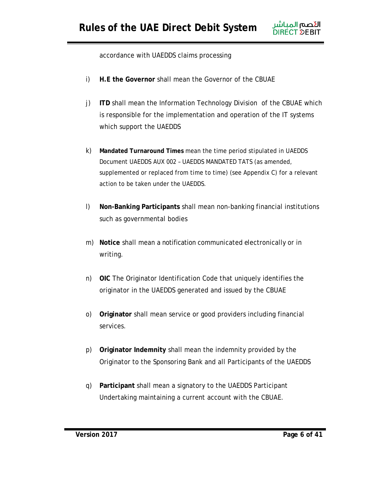accordance with UAEDDS claims processing

- i) **H.E the Governor** shall mean the Governor of the CBUAE
- j) **ITD** shall mean the Information Technology Division of the CBUAE which is responsible for the implementation and operation of the IT systems which support the UAEDDS
- k) **Mandated Turnaround Times** mean the time period stipulated in UAEDDS Document UAEDDS AUX 002 – UAEDDS MANDATED TATS (as amended, supplemented or replaced from time to time) (see Appendix C) for a relevant action to be taken under the UAEDDS.
- l) **Non-Banking Participants** shall mean non-banking financial institutions such as governmental bodies
- m) **Notice** shall mean a notification communicated electronically or in writing.
- n) **OIC** The Originator Identification Code that uniquely identifies the originator in the UAEDDS generated and issued by the CBUAE
- o) **Originator** shall mean service or good providers including financial services.
- p) **Originator Indemnity** shall mean the indemnity provided by the Originator to the Sponsoring Bank and all Participants of the UAEDDS
- q) **Participant** shall mean a signatory to the UAEDDS Participant Undertaking maintaining a current account with the CBUAE.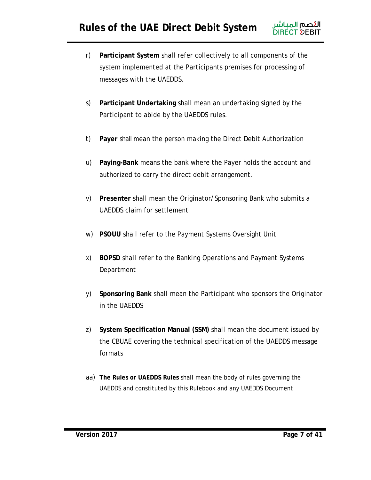- r) **Participant System** shall refer collectively to all components of the system implemented at the Participants premises for processing of messages with the UAEDDS.
- s) **Participant Undertaking** shall mean an undertaking signed by the Participant to abide by the UAEDDS rules.
- t) **Payer** shall mean the person making the Direct Debit Authorization
- u) **Paying-Bank** means the bank where the Payer holds the account and authorized to carry the direct debit arrangement.
- v) **Presenter** shall mean the Originator/Sponsoring Bank who submits a UAEDDS claim for settlement
- w) **PSOUU** shall refer to the Payment Systems Oversight Unit
- x) **BOPSD** shall refer to the Banking Operations and Payment Systems Department
- y) **Sponsoring Bank** shall mean the Participant who sponsors the Originator in the UAEDDS
- z) **System Specification Manual (SSM)** shall mean the document issued by the CBUAE covering the technical specification of the UAEDDS message formats
- aa) **The Rules or UAEDDS Rules** shall mean the body of rules governing the UAEDDS and constituted by this Rulebook and any UAEDDS Document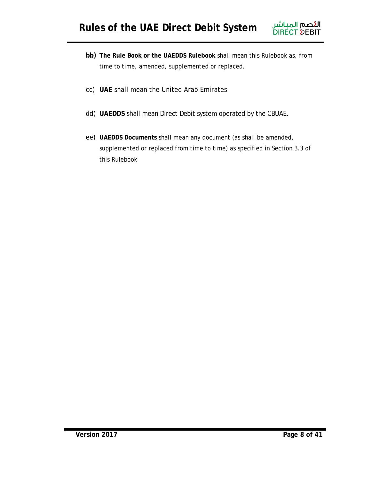- **bb) The Rule Book or the UAEDDS Rulebook** shall mean this Rulebook as, from time to time, amended, supplemented or replaced.
- cc) **UAE** shall mean the United Arab Emirates
- dd) **UAEDDS** shall mean Direct Debit system operated by the CBUAE.
- ee) **UAEDDS Documents** shall mean any document (as shall be amended, supplemented or replaced from time to time) as specified in Section 3.3 of this Rulebook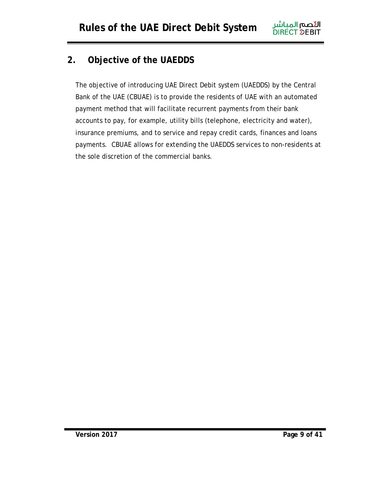## **2. Objective of the UAEDDS**

The objective of introducing UAE Direct Debit system (UAEDDS) by the Central Bank of the UAE (CBUAE) is to provide the residents of UAE with an automated payment method that will facilitate recurrent payments from their bank accounts to pay, for example, utility bills (telephone, electricity and water), insurance premiums, and to service and repay credit cards, finances and loans payments. CBUAE allows for extending the UAEDDS services to non-residents at the sole discretion of the commercial banks.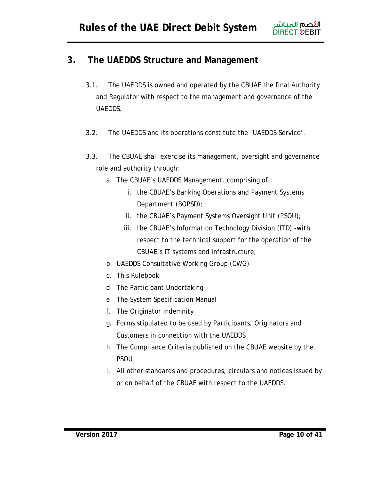## **3. The UAEDDS Structure and Management**

- 3.1. The UAEDDS is owned and operated by the CBUAE the final Authority and Regulator with respect to the management and governance of the UAEDDS.
- 3.2. The UAEDDS and its operations constitute the 'UAEDDS Service'.
- 3.3. The CBUAE shall exercise its management, oversight and governance role and authority through:
	- a. The CBUAE's UAEDDS Management, comprising of :
		- i. the CBUAE's Banking Operations and Payment Systems Department (BOPSD);
		- ii. the CBUAE's Payment Systems Oversight Unit (PSOU);
		- iii. the CBUAE's Information Technology Division (ITD) -with respect to the technical support for the operation of the CBUAE's IT systems and infrastructure;
	- b. UAEDDS Consultative Working Group (CWG)
	- c. This Rulebook
	- d. The Participant Undertaking
	- e. The System Specification Manual
	- f. The Originator Indemnity
	- g. Forms stipulated to be used by Participants, Originators and Customers in connection with the UAEDDS
	- h. The Compliance Criteria published on the CBUAE website by the PSOU
	- i. All other standards and procedures, circulars and notices issued by or on behalf of the CBUAE with respect to the UAEDDS.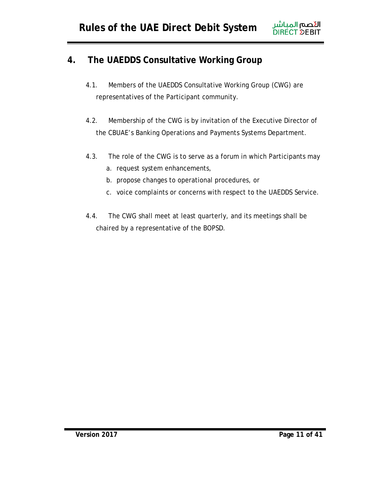## **4. The UAEDDS Consultative Working Group**

- 4.1. Members of the UAEDDS Consultative Working Group (CWG) are representatives of the Participant community.
- 4.2. Membership of the CWG is by invitation of the Executive Director of the CBUAE's Banking Operations and Payments Systems Department.
- 4.3. The role of the CWG is to serve as a forum in which Participants may
	- a. request system enhancements,
	- b. propose changes to operational procedures, or
	- c. voice complaints or concerns with respect to the UAEDDS Service.
- 4.4. The CWG shall meet at least quarterly, and its meetings shall be chaired by a representative of the BOPSD.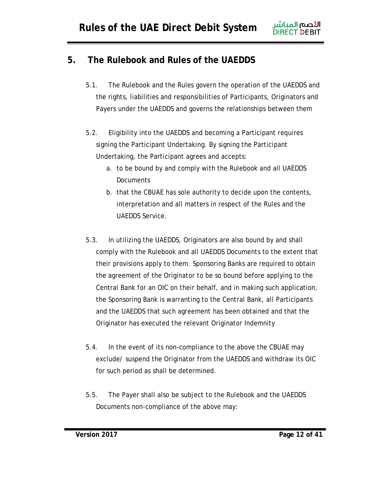## **5. The Rulebook and Rules of the UAEDDS**

- 5.1. The Rulebook and the Rules govern the operation of the UAEDDS and the rights, liabilities and responsibilities of Participants, Originators and Payers under the UAEDDS and governs the relationships between them
- 5.2. Eligibility into the UAEDDS and becoming a Participant requires signing the Participant Undertaking. By signing the Participant Undertaking, the Participant agrees and accepts:
	- a. to be bound by and comply with the Rulebook and all UAEDDS **Documents**
	- b. that the CBUAE has sole authority to decide upon the contents, interpretation and all matters in respect of the Rules and the UAEDDS Service.
- 5.3. In utilizing the UAEDDS, Originators are also bound by and shall comply with the Rulebook and all UAEDDS Documents to the extent that their provisions apply to them. Sponsoring Banks are required to obtain the agreement of the Originator to be so bound before applying to the Central Bank for an OIC on their behalf, and in making such application, the Sponsoring Bank is warranting to the Central Bank, all Participants and the UAEDDS that such agreement has been obtained and that the Originator has executed the relevant Originator Indemnity
- 5.4. In the event of its non-compliance to the above the CBUAE may exclude/ suspend the Originator from the UAEDDS and withdraw its OIC for such period as shall be determined.
- 5.5. The Payer shall also be subject to the Rulebook and the UAEDDS Documents non-compliance of the above may: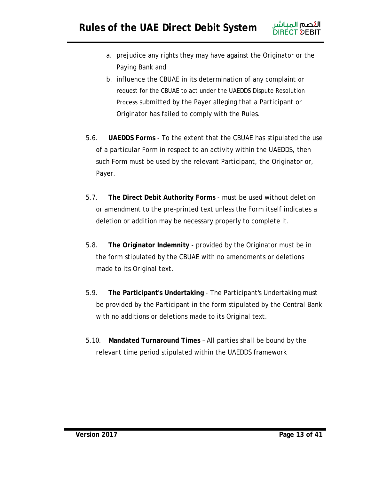- a. prejudice any rights they may have against the Originator or the Paying Bank and
- b. influence the CBUAE in its determination of any complaint or request for the CBUAE to act under the UAEDDS Dispute Resolution Process submitted by the Payer alleging that a Participant or Originator has failed to comply with the Rules.
- 5.6. **UAEDDS Forms** To the extent that the CBUAE has stipulated the use of a particular Form in respect to an activity within the UAEDDS, then such Form must be used by the relevant Participant, the Originator or, Payer.
- 5.7. **The Direct Debit Authority Forms** must be used without deletion or amendment to the pre-printed text unless the Form itself indicates a deletion or addition may be necessary properly to complete it.
- 5.8. **The Originator Indemnity** provided by the Originator must be in the form stipulated by the CBUAE with no amendments or deletions made to its Original text.
- 5.9. **The Participant's Undertaking** The Participant's Undertaking must be provided by the Participant in the form stipulated by the Central Bank with no additions or deletions made to its Original text.
- 5.10. **Mandated Turnaround Times** All parties shall be bound by the relevant time period stipulated within the UAEDDS framework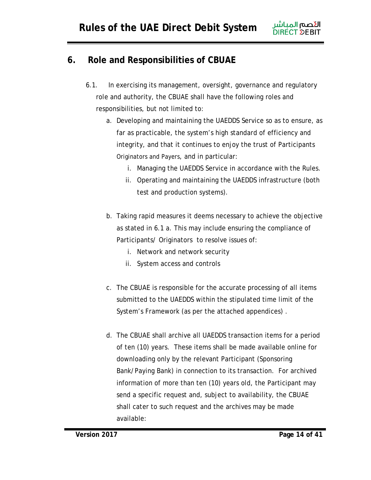## **6. Role and Responsibilities of CBUAE**

- 6.1. In exercising its management, oversight, governance and regulatory role and authority, the CBUAE shall have the following roles and responsibilities, but not limited to:
	- a. Developing and maintaining the UAEDDS Service so as to ensure, as far as practicable, the system's high standard of efficiency and integrity, and that it continues to enjoy the trust of Participants Originators and Payers, and in particular:
		- i. Managing the UAEDDS Service in accordance with the Rules.
		- ii. Operating and maintaining the UAEDDS infrastructure (both test and production systems).
	- b. Taking rapid measures it deems necessary to achieve the objective as stated in 6.1 a. This may include ensuring the compliance of Participants/ Originators to resolve issues of:
		- i. Network and network security
		- ii. System access and controls
	- c. The CBUAE is responsible for the accurate processing of all items submitted to the UAEDDS within the stipulated time limit of the System's Framework (as per the attached appendices) .
	- d. The CBUAE shall archive all UAEDDS transaction items for a period of ten (10) years. These items shall be made available online for downloading only by the relevant Participant (Sponsoring Bank/Paying Bank) in connection to its transaction. For archived information of more than ten (10) years old, the Participant may send a specific request and, subject to availability, the CBUAE shall cater to such request and the archives may be made available: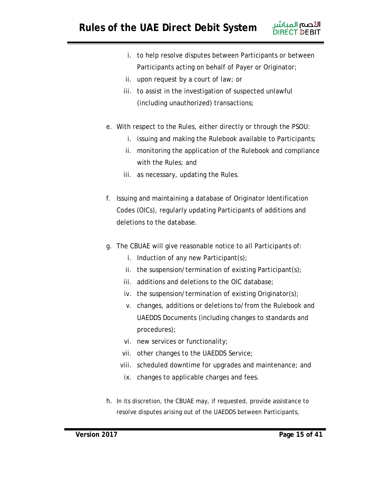- i. to help resolve disputes between Participants or between Participants acting on behalf of Payer or Originator;
- ii. upon request by a court of law; or
- iii. to assist in the investigation of suspected unlawful (including unauthorized) transactions;
- e. With respect to the Rules, either directly or through the PSOU:
	- i. issuing and making the Rulebook available to Participants;
	- ii. monitoring the application of the Rulebook and compliance with the Rules; and
	- iii. as necessary, updating the Rules.
- f. Issuing and maintaining a database of Originator Identification Codes (OICs), regularly updating Participants of additions and deletions to the database.
- g. The CBUAE will give reasonable notice to all Participants of:
	- i. Induction of any new Participant(s);
	- ii. the suspension/termination of existing Participant(s);
	- iii. additions and deletions to the OIC database;
	- iv. the suspension/termination of existing Originator(s);
	- v. changes, additions or deletions to/from the Rulebook and UAEDDS Documents (including changes to standards and procedures);
	- vi. new services or functionality;
	- vii. other changes to the UAEDDS Service;
	- viii. scheduled downtime for upgrades and maintenance; and
		- ix. changes to applicable charges and fees.
- h. In its discretion, the CBUAE may, if requested, provide assistance to resolve disputes arising out of the UAEDDS between Participants,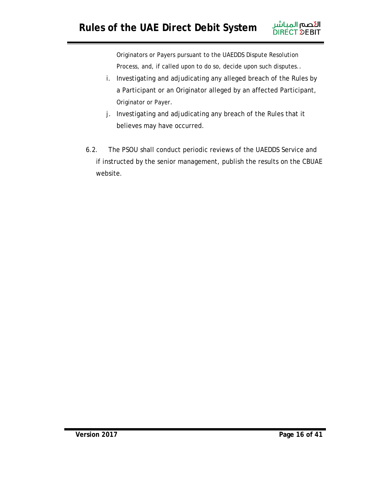Originators or Payers pursuant to the UAEDDS Dispute Resolution Process, and, if called upon to do so, decide upon such disputes..

- i. Investigating and adjudicating any alleged breach of the Rules by a Participant or an Originator alleged by an affected Participant, Originator or Payer.
- j. Investigating and adjudicating any breach of the Rules that it believes may have occurred.
- 6.2. The PSOU shall conduct periodic reviews of the UAEDDS Service and if instructed by the senior management, publish the results on the CBUAE website.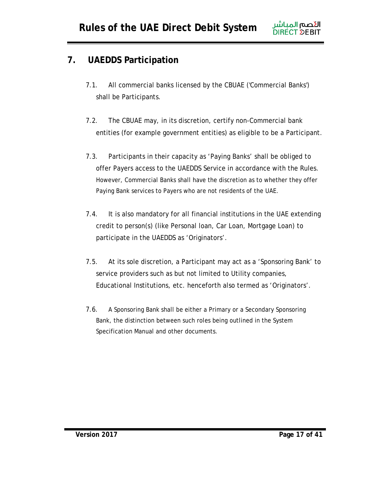## **7. UAEDDS Participation**

- 7.1. All commercial banks licensed by the CBUAE ('Commercial Banks') shall be Participants.
- 7.2. The CBUAE may, in its discretion, certify non-Commercial bank entities (for example government entities) as eligible to be a Participant.
- 7.3. Participants in their capacity as 'Paying Banks' shall be obliged to offer Payers access to the UAEDDS Service in accordance with the Rules. However, Commercial Banks shall have the discretion as to whether they offer Paying Bank services to Payers who are not residents of the UAE.
- 7.4. It is also mandatory for all financial institutions in the UAE extending credit to person(s) (like Personal loan, Car Loan, Mortgage Loan) to participate in the UAEDDS as 'Originators'.
- 7.5. At its sole discretion, a Participant may act as a 'Sponsoring Bank' to service providers such as but not limited to Utility companies, Educational Institutions, etc. henceforth also termed as 'Originators'.
- 7.6. A Sponsoring Bank shall be either a Primary or a Secondary Sponsoring Bank, the distinction between such roles being outlined in the System Specification Manual and other documents.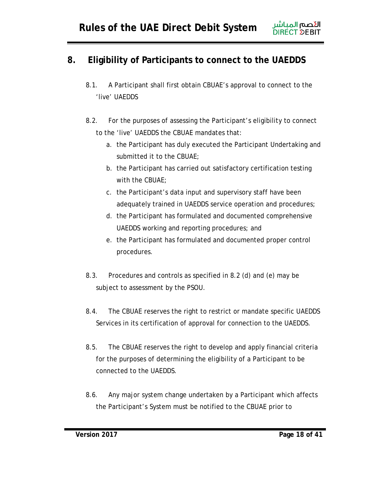## **8. Eligibility of Participants to connect to the UAEDDS**

- 8.1. A Participant shall first obtain CBUAE's approval to connect to the 'live' UAEDDS
- 8.2. For the purposes of assessing the Participant's eligibility to connect to the 'live' UAEDDS the CBUAE mandates that:
	- a. the Participant has duly executed the Participant Undertaking and submitted it to the CBUAE;
	- b. the Participant has carried out satisfactory certification testing with the CBUAE;
	- c. the Participant's data input and supervisory staff have been adequately trained in UAEDDS service operation and procedures;
	- d. the Participant has formulated and documented comprehensive UAEDDS working and reporting procedures; and
	- e. the Participant has formulated and documented proper control procedures.
- 8.3. Procedures and controls as specified in 8.2 (d) and (e) may be subject to assessment by the PSOU.
- 8.4. The CBUAE reserves the right to restrict or mandate specific UAEDDS Services in its certification of approval for connection to the UAEDDS.
- 8.5. The CBUAE reserves the right to develop and apply financial criteria for the purposes of determining the eligibility of a Participant to be connected to the UAEDDS.
- 8.6. Any major system change undertaken by a Participant which affects the Participant's System must be notified to the CBUAE prior to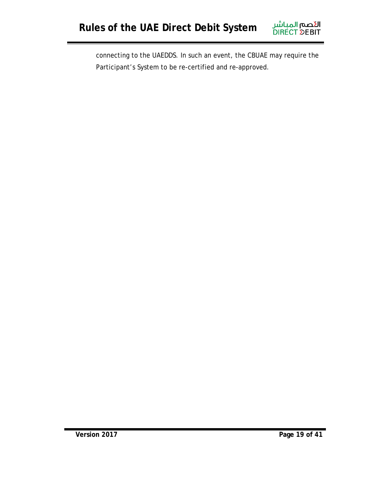connecting to the UAEDDS. In such an event, the CBUAE may require the Participant's System to be re-certified and re-approved.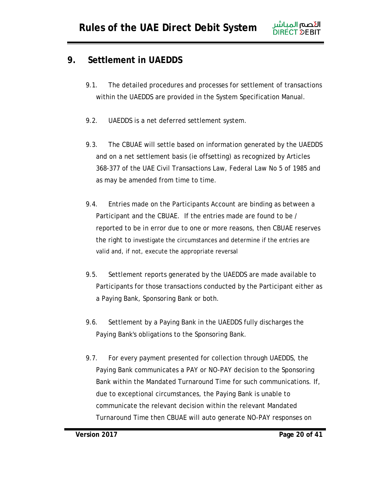## **9. Settlement in UAEDDS**

- 9.1. The detailed procedures and processes for settlement of transactions within the UAEDDS are provided in the System Specification Manual.
- 9.2. UAEDDS is a net deferred settlement system.
- 9.3. The CBUAE will settle based on information generated by the UAEDDS and on a net settlement basis (ie offsetting) as recognized by Articles 368-377 of the UAE Civil Transactions Law, Federal Law No 5 of 1985 and as may be amended from time to time.
- 9.4. Entries made on the Participants Account are binding as between a Participant and the CBUAE. If the entries made are found to be / reported to be in error due to one or more reasons, then CBUAE reserves the right to investigate the circumstances and determine if the entries are valid and, if not, execute the appropriate reversal
- 9.5. Settlement reports generated by the UAEDDS are made available to Participants for those transactions conducted by the Participant either as a Paying Bank, Sponsoring Bank or both.
- 9.6. Settlement by a Paying Bank in the UAEDDS fully discharges the Paying Bank's obligations to the Sponsoring Bank.
- 9.7. For every payment presented for collection through UAEDDS, the Paying Bank communicates a PAY or NO-PAY decision to the Sponsoring Bank within the Mandated Turnaround Time for such communications. If, due to exceptional circumstances, the Paying Bank is unable to communicate the relevant decision within the relevant Mandated Turnaround Time then CBUAE will auto generate NO-PAY responses on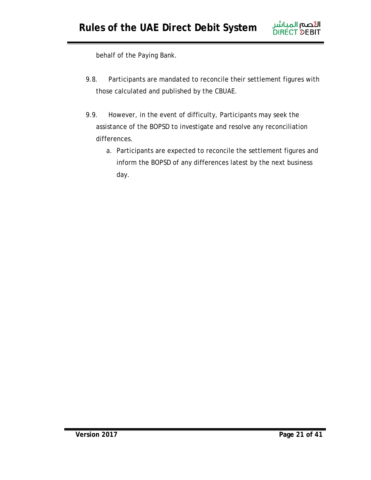behalf of the Paying Bank.

- 9.8. Participants are mandated to reconcile their settlement figures with those calculated and published by the CBUAE.
- 9.9. However, in the event of difficulty, Participants may seek the assistance of the BOPSD to investigate and resolve any reconciliation differences.
	- a. Participants are expected to reconcile the settlement figures and inform the BOPSD of any differences latest by the next business day.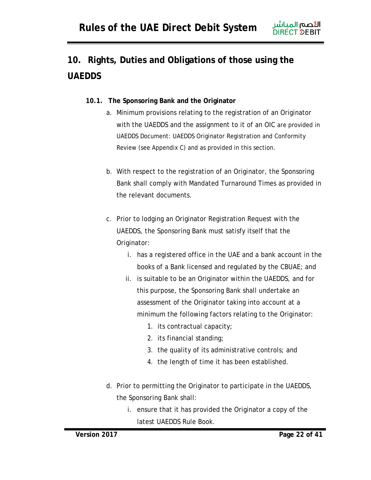# **10. Rights, Duties and Obligations of those using the UAEDDS**

#### **10.1. The Sponsoring Bank and the Originator**

- a. Minimum provisions relating to the registration of an Originator with the UAEDDS and the assignment to it of an OIC are provided in UAEDDS Document: UAEDDS Originator Registration and Conformity Review (see Appendix C) and as provided in this section.
- b. With respect to the registration of an Originator, the Sponsoring Bank shall comply with Mandated Turnaround Times as provided in the relevant documents.
- c. Prior to lodging an Originator Registration Request with the UAEDDS, the Sponsoring Bank must satisfy itself that the Originator:
	- i. has a registered office in the UAE and a bank account in the books of a Bank licensed and regulated by the CBUAE; and
	- ii. is suitable to be an Originator within the UAEDDS, and for this purpose, the Sponsoring Bank shall undertake an assessment of the Originator taking into account at a minimum the following factors relating to the Originator:
		- 1. its contractual capacity;
		- 2. its financial standing;
		- 3. the quality of its administrative controls; and
		- 4. the length of time it has been established.
- d. Prior to permitting the Originator to participate in the UAEDDS, the Sponsoring Bank shall:
	- i. ensure that it has provided the Originator a copy of the latest UAEDDS Rule Book.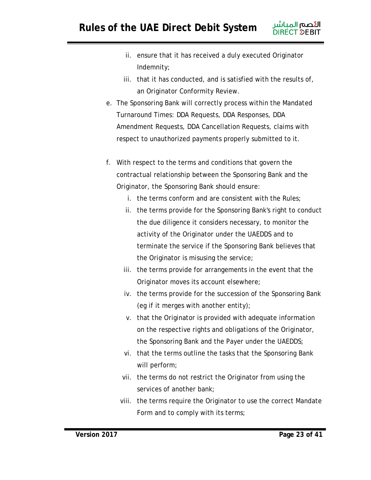- ii. ensure that it has received a duly executed Originator Indemnity;
- iii. that it has conducted, and is satisfied with the results of, an Originator Conformity Review.
- e. The Sponsoring Bank will correctly process within the Mandated Turnaround Times: DDA Requests, DDA Responses, DDA Amendment Requests, DDA Cancellation Requests, claims with respect to unauthorized payments properly submitted to it.
- f. With respect to the terms and conditions that govern the contractual relationship between the Sponsoring Bank and the Originator, the Sponsoring Bank should ensure:
	- i. the terms conform and are consistent with the Rules;
	- ii. the terms provide for the Sponsoring Bank's right to conduct the due diligence it considers necessary, to monitor the activity of the Originator under the UAEDDS and to terminate the service if the Sponsoring Bank believes that the Originator is misusing the service;
	- iii. the terms provide for arrangements in the event that the Originator moves its account elsewhere;
	- iv. the terms provide for the succession of the Sponsoring Bank (eg if it merges with another entity);
	- v. that the Originator is provided with adequate information on the respective rights and obligations of the Originator, the Sponsoring Bank and the Payer under the UAEDDS;
	- vi. that the terms outline the tasks that the Sponsoring Bank will perform;
	- vii. the terms do not restrict the Originator from using the services of another bank;
	- viii. the terms require the Originator to use the correct Mandate Form and to comply with its terms;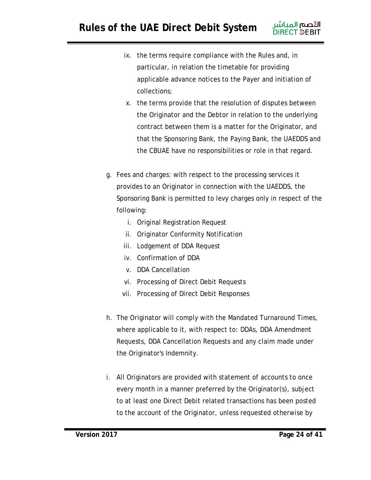- ix. the terms require compliance with the Rules and, in particular, in relation the timetable for providing applicable advance notices to the Payer and initiation of collections;
- x. the terms provide that the resolution of disputes between the Originator and the Debtor in relation to the underlying contract between them is a matter for the Originator, and that the Sponsoring Bank, the Paying Bank, the UAEDDS and the CBUAE have no responsibilities or role in that regard.
- g. Fees and charges: with respect to the processing services it provides to an Originator in connection with the UAEDDS, the Sponsoring Bank is permitted to levy charges only in respect of the following:
	- i. Original Registration Request
	- ii. Originator Conformity Notification
	- iii. Lodgement of DDA Request
	- iv. Confirmation of DDA
	- v. DDA Cancellation
	- vi. Processing of Direct Debit Requests
	- vii. Processing of Direct Debit Responses
- h. The Originator will comply with the Mandated Turnaround Times, where applicable to it, with respect to: DDAs, DDA Amendment Requests, DDA Cancellation Requests and any claim made under the Originator's Indemnity.
- i. All Originators are provided with statement of accounts to once every month in a manner preferred by the Originator(s), subject to at least one Direct Debit related transactions has been posted to the account of the Originator, unless requested otherwise by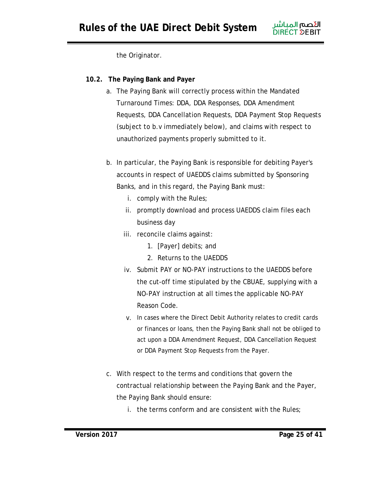the Originator.

#### **10.2. The Paying Bank and Payer**

- a. The Paying Bank will correctly process within the Mandated Turnaround Times: DDA, DDA Responses, DDA Amendment Requests, DDA Cancellation Requests, DDA Payment Stop Requests (subject to b.v immediately below), and claims with respect to unauthorized payments properly submitted to it.
- b. In particular, the Paying Bank is responsible for debiting Payer's accounts in respect of UAEDDS claims submitted by Sponsoring Banks, and in this regard, the Paying Bank must:
	- i. comply with the Rules;
	- ii. promptly download and process UAEDDS claim files each business day
	- iii. reconcile claims against:
		- 1. [Payer] debits; and
		- 2. Returns to the UAEDDS
	- iv. Submit PAY or NO-PAY instructions to the UAEDDS before the cut-off time stipulated by the CBUAE, supplying with a NO-PAY instruction at all times the applicable NO-PAY Reason Code.
	- v. In cases where the Direct Debit Authority relates to credit cards or finances or loans, then the Paying Bank shall not be obliged to act upon a DDA Amendment Request, DDA Cancellation Request or DDA Payment Stop Requests from the Payer.
- c. With respect to the terms and conditions that govern the contractual relationship between the Paying Bank and the Payer, the Paying Bank should ensure:
	- i. the terms conform and are consistent with the Rules;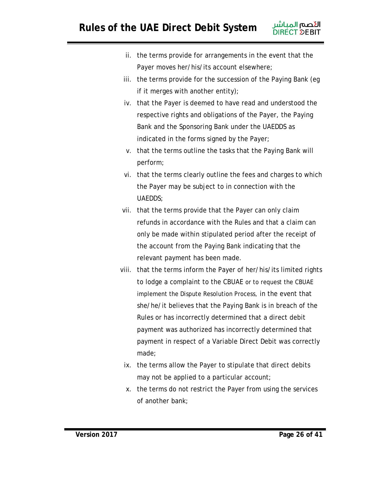- ii. the terms provide for arrangements in the event that the Payer moves her/his/its account elsewhere;
- iii. the terms provide for the succession of the Paying Bank (eg if it merges with another entity);
- iv. that the Payer is deemed to have read and understood the respective rights and obligations of the Payer, the Paying Bank and the Sponsoring Bank under the UAEDDS as indicated in the forms signed by the Payer;
- v. that the terms outline the tasks that the Paying Bank will perform;
- vi. that the terms clearly outline the fees and charges to which the Payer may be subject to in connection with the UAEDDS;
- vii. that the terms provide that the Payer can only claim refunds in accordance with the Rules and that a claim can only be made within stipulated period after the receipt of the account from the Paying Bank indicating that the relevant payment has been made.
- viii. that the terms inform the Payer of her/his/its limited rights to lodge a complaint to the CBUAE or to request the CBUAE implement the Dispute Resolution Process, in the event that she/he/it believes that the Paying Bank is in breach of the Rules or has incorrectly determined that a direct debit payment was authorized has incorrectly determined that payment in respect of a Variable Direct Debit was correctly made;
	- ix. the terms allow the Payer to stipulate that direct debits may not be applied to a particular account;
	- x. the terms do not restrict the Payer from using the services of another bank;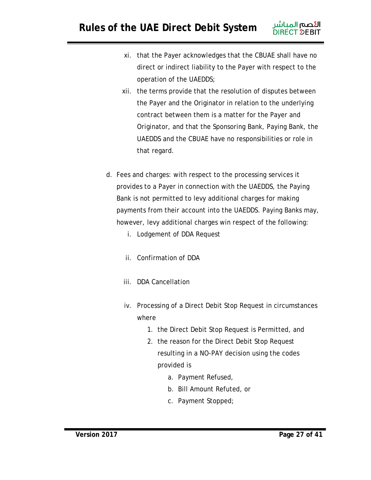- xi. that the Payer acknowledges that the CBUAE shall have no direct or indirect liability to the Payer with respect to the operation of the UAEDDS;
- xii. the terms provide that the resolution of disputes between the Payer and the Originator in relation to the underlying contract between them is a matter for the Payer and Originator, and that the Sponsoring Bank, Paying Bank, the UAEDDS and the CBUAE have no responsibilities or role in that regard.
- d. Fees and charges: with respect to the processing services it provides to a Payer in connection with the UAEDDS, the Paying Bank is not permitted to levy additional charges for making payments from their account into the UAEDDS. Paying Banks may, however, levy additional charges win respect of the following:
	- i. Lodgement of DDA Request
	- ii. Confirmation of DDA
	- iii. DDA Cancellation
	- iv. Processing of a Direct Debit Stop Request in circumstances where
		- 1. the Direct Debit Stop Request is Permitted, and
		- 2. the reason for the Direct Debit Stop Request resulting in a NO-PAY decision using the codes provided is
			- a. Payment Refused,
			- b. Bill Amount Refuted, or
			- c. Payment Stopped;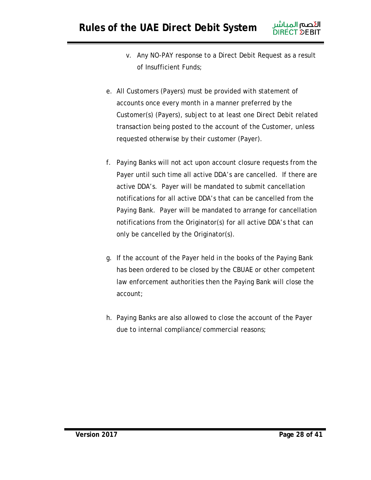- v. Any NO-PAY response to a Direct Debit Request as a result of Insufficient Funds;
- e. All Customers (Payers) must be provided with statement of accounts once every month in a manner preferred by the Customer(s) (Payers), subject to at least one Direct Debit related transaction being posted to the account of the Customer, unless requested otherwise by their customer (Payer).
- f. Paying Banks will not act upon account closure requests from the Payer until such time all active DDA's are cancelled. If there are active DDA's. Payer will be mandated to submit cancellation notifications for all active DDA's that can be cancelled from the Paying Bank. Payer will be mandated to arrange for cancellation notifications from the Originator(s) for all active DDA's that can only be cancelled by the Originator(s).
- g. If the account of the Payer held in the books of the Paying Bank has been ordered to be closed by the CBUAE or other competent law enforcement authorities then the Paying Bank will close the account;
- h. Paying Banks are also allowed to close the account of the Payer due to internal compliance/commercial reasons;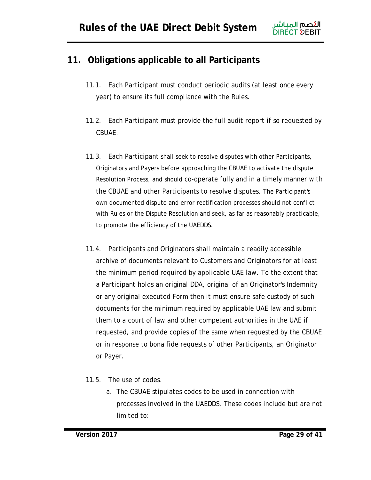## **11. Obligations applicable to all Participants**

- 11.1. Each Participant must conduct periodic audits (at least once every year) to ensure its full compliance with the Rules.
- 11.2. Each Participant must provide the full audit report if so requested by CBUAE.
- 11.3. Each Participant shall seek to resolve disputes with other Participants, Originators and Payers before approaching the CBUAE to activate the dispute Resolution Process, and should co-operate fully and in a timely manner with the CBUAE and other Participants to resolve disputes. The Participant's own documented dispute and error rectification processes should not conflict with Rules or the Dispute Resolution and seek, as far as reasonably practicable, to promote the efficiency of the UAEDDS.
- 11.4. Participants and Originators shall maintain a readily accessible archive of documents relevant to Customers and Originators for at least the minimum period required by applicable UAE law. To the extent that a Participant holds an original DDA, original of an Originator's Indemnity or any original executed Form then it must ensure safe custody of such documents for the minimum required by applicable UAE law and submit them to a court of law and other competent authorities in the UAE if requested, and provide copies of the same when requested by the CBUAE or in response to bona fide requests of other Participants, an Originator or Payer.
- 11.5. The use of codes.
	- a. The CBUAE stipulates codes to be used in connection with processes involved in the UAEDDS. These codes include but are not limited to: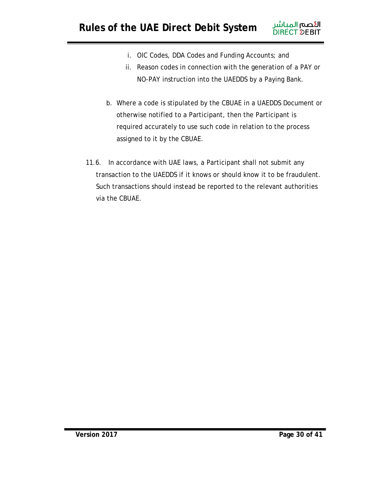- i. OIC Codes, DDA Codes and Funding Accounts; and
- ii. Reason codes in connection with the generation of a PAY or NO-PAY instruction into the UAEDDS by a Paying Bank.
- b. Where a code is stipulated by the CBUAE in a UAEDDS Document or otherwise notified to a Participant, then the Participant is required accurately to use such code in relation to the process assigned to it by the CBUAE.
- 11.6. In accordance with UAE laws, a Participant shall not submit any transaction to the UAEDDS if it knows or should know it to be fraudulent. Such transactions should instead be reported to the relevant authorities via the CBUAE.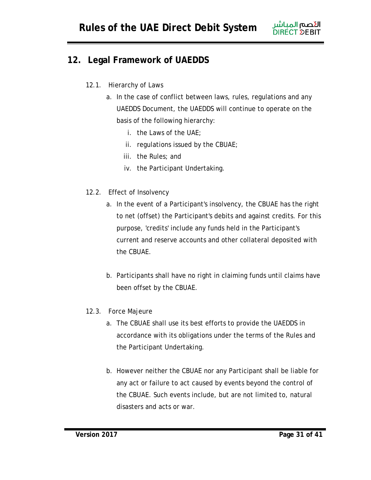## **12. Legal Framework of UAEDDS**

- 12.1. Hierarchy of Laws
	- a. In the case of conflict between laws, rules, regulations and any UAEDDS Document, the UAEDDS will continue to operate on the basis of the following hierarchy:
		- i. the Laws of the UAE;
		- ii. regulations issued by the CBUAE;
		- iii. the Rules; and
		- iv. the Participant Undertaking.
- 12.2. Effect of Insolvency
	- a. In the event of a Participant's insolvency, the CBUAE has the right to net (offset) the Participant's debits and against credits. For this purpose, 'credits' include any funds held in the Participant's current and reserve accounts and other collateral deposited with the CBUAE.
	- b. Participants shall have no right in claiming funds until claims have been offset by the CBUAE.
- 12.3. Force Majeure
	- a. The CBUAE shall use its best efforts to provide the UAEDDS in accordance with its obligations under the terms of the Rules and the Participant Undertaking.
	- b. However neither the CBUAE nor any Participant shall be liable for any act or failure to act caused by events beyond the control of the CBUAE. Such events include, but are not limited to, natural disasters and acts or war.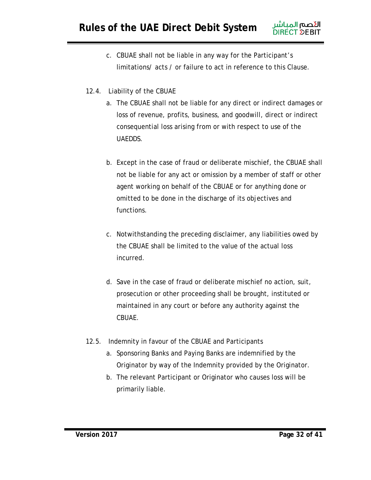- c. CBUAE shall not be liable in any way for the Participant's limitations/ acts / or failure to act in reference to this Clause.
- 12.4. Liability of the CBUAE
	- a. The CBUAE shall not be liable for any direct or indirect damages or loss of revenue, profits, business, and goodwill, direct or indirect consequential loss arising from or with respect to use of the UAEDDS.
	- b. Except in the case of fraud or deliberate mischief, the CBUAE shall not be liable for any act or omission by a member of staff or other agent working on behalf of the CBUAE or for anything done or omitted to be done in the discharge of its objectives and functions.
	- c. Notwithstanding the preceding disclaimer, any liabilities owed by the CBUAE shall be limited to the value of the actual loss incurred.
	- d. Save in the case of fraud or deliberate mischief no action, suit, prosecution or other proceeding shall be brought, instituted or maintained in any court or before any authority against the CBUAE.
- 12.5. Indemnity in favour of the CBUAE and Participants
	- a. Sponsoring Banks and Paying Banks are indemnified by the Originator by way of the Indemnity provided by the Originator.
	- b. The relevant Participant or Originator who causes loss will be primarily liable.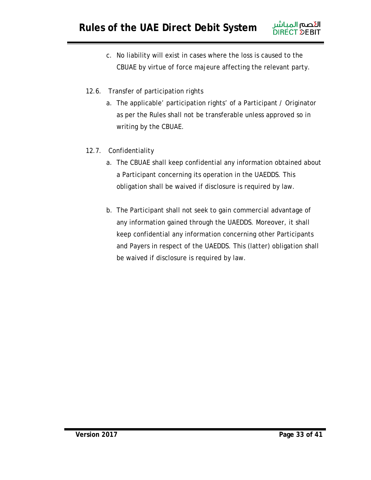- c. No liability will exist in cases where the loss is caused to the CBUAE by virtue of force majeure affecting the relevant party.
- 12.6. Transfer of participation rights
	- a. The applicable' participation rights' of a Participant / Originator as per the Rules shall not be transferable unless approved so in writing by the CBUAE.
- 12.7. Confidentiality
	- a. The CBUAE shall keep confidential any information obtained about a Participant concerning its operation in the UAEDDS. This obligation shall be waived if disclosure is required by law.
	- b. The Participant shall not seek to gain commercial advantage of any information gained through the UAEDDS. Moreover, it shall keep confidential any information concerning other Participants and Payers in respect of the UAEDDS. This (latter) obligation shall be waived if disclosure is required by law.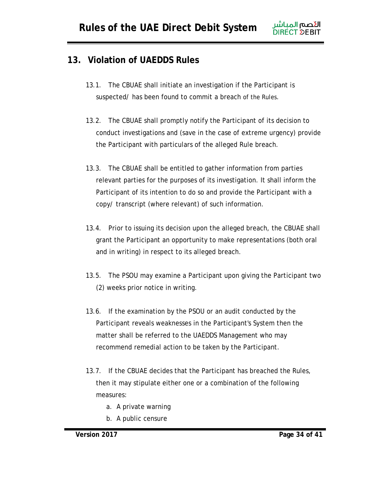### **13. Violation of UAEDDS Rules**

- 13.1. The CBUAE shall initiate an investigation if the Participant is suspected/ has been found to commit a breach of the Rules.
- 13.2. The CBUAE shall promptly notify the Participant of its decision to conduct investigations and (save in the case of extreme urgency) provide the Participant with particulars of the alleged Rule breach.
- 13.3. The CBUAE shall be entitled to gather information from parties relevant parties for the purposes of its investigation. It shall inform the Participant of its intention to do so and provide the Participant with a copy/ transcript (where relevant) of such information.
- 13.4. Prior to issuing its decision upon the alleged breach, the CBUAE shall grant the Participant an opportunity to make representations (both oral and in writing) in respect to its alleged breach.
- 13.5. The PSOU may examine a Participant upon giving the Participant two (2) weeks prior notice in writing.
- 13.6. If the examination by the PSOU or an audit conducted by the Participant reveals weaknesses in the Participant's System then the matter shall be referred to the UAEDDS Management who may recommend remedial action to be taken by the Participant.
- 13.7. If the CBUAE decides that the Participant has breached the Rules, then it may stipulate either one or a combination of the following measures:
	- a. A private warning
	- b. A public censure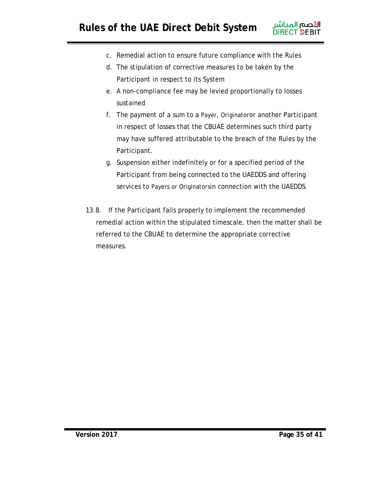- c. Remedial action to ensure future compliance with the Rules
- d. The stipulation of corrective measures to be taken by the Participant in respect to its System
- e. A non-compliance fee may be levied proportionally to losses sustained
- f. The payment of a sum to a Payer, Originatoror another Participant in respect of losses that the CBUAE determines such third party may have suffered attributable to the breach of the Rules by the Participant.
- g. Suspension either indefinitely or for a specified period of the Participant from being connected to the UAEDDS and offering services to Payers or Originatorsin connection with the UAEDDS.
- 13.8. If the Participant fails properly to implement the recommended remedial action within the stipulated timescale, then the matter shall be referred to the CBUAE to determine the appropriate corrective measures.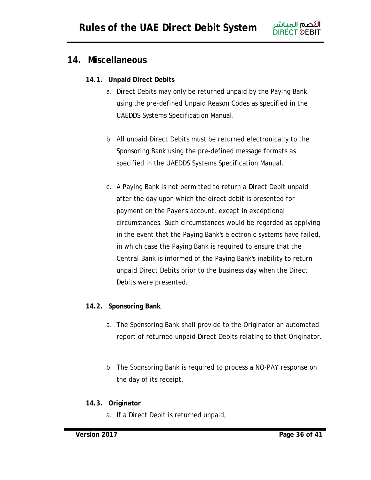#### **14. Miscellaneous**

#### **14.1. Unpaid Direct Debits**

- a. Direct Debits may only be returned unpaid by the Paying Bank using the pre-defined Unpaid Reason Codes as specified in the UAEDDS Systems Specification Manual.
- b. All unpaid Direct Debits must be returned electronically to the Sponsoring Bank using the pre-defined message formats as specified in the UAEDDS Systems Specification Manual.
- c. A Paying Bank is not permitted to return a Direct Debit unpaid after the day upon which the direct debit is presented for payment on the Payer's account, except in exceptional circumstances. Such circumstances would be regarded as applying in the event that the Paying Bank's electronic systems have failed, in which case the Paying Bank is required to ensure that the Central Bank is informed of the Paying Bank's inability to return unpaid Direct Debits prior to the business day when the Direct Debits were presented.

#### **14.2. Sponsoring Bank**

- a. The Sponsoring Bank shall provide to the Originator an automated report of returned unpaid Direct Debits relating to that Originator.
- b. The Sponsoring Bank is required to process a NO-PAY response on the day of its receipt.

#### **14.3. Originator**

a. If a Direct Debit is returned unpaid,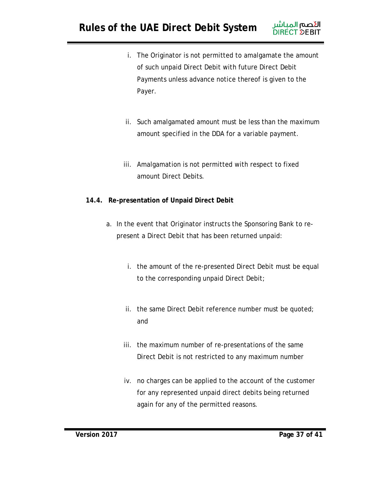- i. The Originator is not permitted to amalgamate the amount of such unpaid Direct Debit with future Direct Debit Payments unless advance notice thereof is given to the Payer.
- ii. Such amalgamated amount must be less than the maximum amount specified in the DDA for a variable payment.
- iii. Amalgamation is not permitted with respect to fixed amount Direct Debits.
- **14.4. Re-presentation of Unpaid Direct Debit** 
	- a. In the event that Originator instructs the Sponsoring Bank to represent a Direct Debit that has been returned unpaid:
		- i. the amount of the re-presented Direct Debit must be equal to the corresponding unpaid Direct Debit;
		- ii. the same Direct Debit reference number must be quoted; and
		- iii. the maximum number of re-presentations of the same Direct Debit is not restricted to any maximum number
		- iv. no charges can be applied to the account of the customer for any represented unpaid direct debits being returned again for any of the permitted reasons.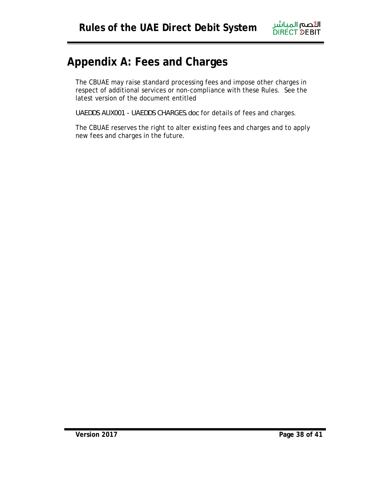## **Appendix A: Fees and Charges**

The CBUAE may raise standard processing fees and impose other charges in respect of additional services or non-compliance with these Rules. See the latest version of the document entitled

*UAEDDS AUX001 - UAEDDS CHARGES.doc* for details of fees and charges.

The CBUAE reserves the right to alter existing fees and charges and to apply new fees and charges in the future.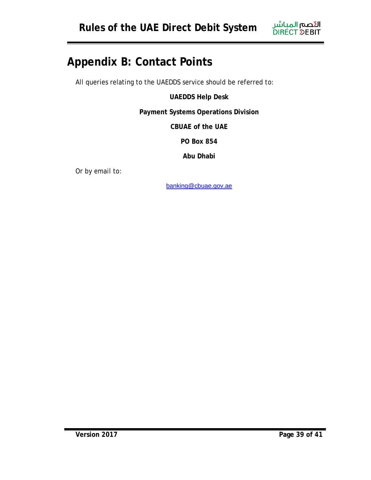# **Appendix B: Contact Points**

All queries relating to the UAEDDS service should be referred to:

**UAEDDS Help Desk** 

**Payment Systems Operations Division** 

**CBUAE of the UAE** 

**PO Box 854** 

**Abu Dhabi** 

Or by email to:

banking@cbuae.gov.ae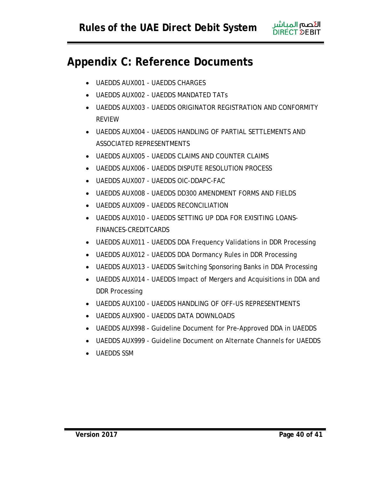## **Appendix C: Reference Documents**

- UAEDDS AUX001 UAEDDS CHARGES
- UAEDDS AUX002 UAEDDS MANDATED TATs
- UAEDDS AUX003 UAEDDS ORIGINATOR REGISTRATION AND CONFORMITY REVIEW
- UAEDDS AUX004 UAEDDS HANDLING OF PARTIAL SETTLEMENTS AND ASSOCIATED REPRESENTMENTS
- UAEDDS AUX005 UAEDDS CLAIMS AND COUNTER CLAIMS
- UAEDDS AUX006 UAEDDS DISPUTE RESOLUTION PROCESS
- UAEDDS AUX007 UAEDDS OIC-DDAPC-FAC
- UAEDDS AUX008 UAEDDS DD300 AMENDMENT FORMS AND FIELDS
- UAEDDS AUX009 UAEDDS RECONCILIATION
- UAEDDS AUX010 UAEDDS SETTING UP DDA FOR EXISITING LOANS-FINANCES-CREDITCARDS
- UAEDDS AUX011 UAEDDS DDA Frequency Validations in DDR Processing
- UAEDDS AUX012 UAEDDS DDA Dormancy Rules in DDR Processing
- UAEDDS AUX013 UAEDDS Switching Sponsoring Banks in DDA Processing
- UAEDDS AUX014 UAEDDS Impact of Mergers and Acquisitions in DDA and DDR Processing
- UAEDDS AUX100 UAEDDS HANDLING OF OFF-US REPRESENTMENTS
- UAEDDS AUX900 UAEDDS DATA DOWNLOADS
- UAEDDS AUX998 Guideline Document for Pre-Approved DDA in UAEDDS
- UAEDDS AUX999 Guideline Document on Alternate Channels for UAEDDS
- UAEDDS SSM